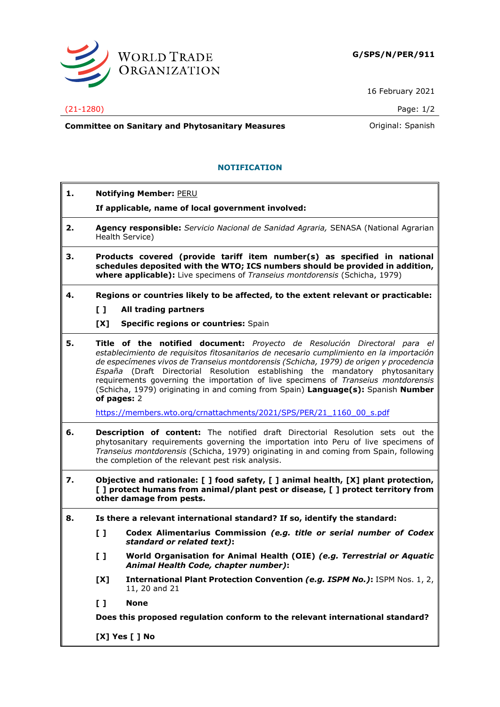

16 February 2021

## (21-1280) Page: 1/2

**Committee on Sanitary and Phytosanitary Measures Committee on Sanish** 

## **NOTIFICATION**

| 1. | <b>Notifying Member: PERU</b>                                                                                                                                                                                                                                                                                         |                                                                                                                                                                                                                                                                                                                                                                                                                                                                                                                                            |  |
|----|-----------------------------------------------------------------------------------------------------------------------------------------------------------------------------------------------------------------------------------------------------------------------------------------------------------------------|--------------------------------------------------------------------------------------------------------------------------------------------------------------------------------------------------------------------------------------------------------------------------------------------------------------------------------------------------------------------------------------------------------------------------------------------------------------------------------------------------------------------------------------------|--|
|    |                                                                                                                                                                                                                                                                                                                       | If applicable, name of local government involved:                                                                                                                                                                                                                                                                                                                                                                                                                                                                                          |  |
| 2. | Agency responsible: Servicio Nacional de Sanidad Agraria, SENASA (National Agrarian<br>Health Service)                                                                                                                                                                                                                |                                                                                                                                                                                                                                                                                                                                                                                                                                                                                                                                            |  |
| З. | Products covered (provide tariff item number(s) as specified in national<br>schedules deposited with the WTO; ICS numbers should be provided in addition,<br>where applicable): Live specimens of Transeius montdorensis (Schicha, 1979)                                                                              |                                                                                                                                                                                                                                                                                                                                                                                                                                                                                                                                            |  |
| 4. |                                                                                                                                                                                                                                                                                                                       | Regions or countries likely to be affected, to the extent relevant or practicable:                                                                                                                                                                                                                                                                                                                                                                                                                                                         |  |
|    | $\mathbf{L}$                                                                                                                                                                                                                                                                                                          | All trading partners                                                                                                                                                                                                                                                                                                                                                                                                                                                                                                                       |  |
|    | [X]                                                                                                                                                                                                                                                                                                                   | <b>Specific regions or countries: Spain</b>                                                                                                                                                                                                                                                                                                                                                                                                                                                                                                |  |
| 5. |                                                                                                                                                                                                                                                                                                                       | Title of the notified document: Proyecto de Resolución Directoral para el<br>establecimiento de requisitos fitosanitarios de necesario cumplimiento en la importación<br>de especímenes vivos de Transeius montdorensis (Schicha, 1979) de origen y procedencia<br>España (Draft Directorial Resolution establishing the mandatory phytosanitary<br>requirements governing the importation of live specimens of Transeius montdorensis<br>(Schicha, 1979) originating in and coming from Spain) Language(s): Spanish Number<br>of pages: 2 |  |
|    |                                                                                                                                                                                                                                                                                                                       | https://members.wto.org/crnattachments/2021/SPS/PER/21 1160 00 s.pdf                                                                                                                                                                                                                                                                                                                                                                                                                                                                       |  |
| 6. | Description of content: The notified draft Directorial Resolution sets out the<br>phytosanitary requirements governing the importation into Peru of live specimens of<br>Transeius montdorensis (Schicha, 1979) originating in and coming from Spain, following<br>the completion of the relevant pest risk analysis. |                                                                                                                                                                                                                                                                                                                                                                                                                                                                                                                                            |  |
| 7. | Objective and rationale: [ ] food safety, [ ] animal health, [X] plant protection,<br>[ ] protect humans from animal/plant pest or disease, [ ] protect territory from<br>other damage from pests.                                                                                                                    |                                                                                                                                                                                                                                                                                                                                                                                                                                                                                                                                            |  |
| 8. | Is there a relevant international standard? If so, identify the standard:                                                                                                                                                                                                                                             |                                                                                                                                                                                                                                                                                                                                                                                                                                                                                                                                            |  |
|    | $\mathbf{L}$                                                                                                                                                                                                                                                                                                          | Codex Alimentarius Commission (e.g. title or serial number of Codex<br>standard or related text):                                                                                                                                                                                                                                                                                                                                                                                                                                          |  |
|    | $\mathbf{L}$                                                                                                                                                                                                                                                                                                          | World Organisation for Animal Health (OIE) (e.g. Terrestrial or Aquatic<br>Animal Health Code, chapter number):                                                                                                                                                                                                                                                                                                                                                                                                                            |  |
|    | [X]                                                                                                                                                                                                                                                                                                                   | International Plant Protection Convention (e.g. ISPM No.): ISPM Nos. 1, 2,<br>11, 20 and 21                                                                                                                                                                                                                                                                                                                                                                                                                                                |  |
|    | $\mathbf{L}$                                                                                                                                                                                                                                                                                                          | <b>None</b>                                                                                                                                                                                                                                                                                                                                                                                                                                                                                                                                |  |
|    | Does this proposed regulation conform to the relevant international standard?                                                                                                                                                                                                                                         |                                                                                                                                                                                                                                                                                                                                                                                                                                                                                                                                            |  |
|    |                                                                                                                                                                                                                                                                                                                       | [X] Yes [ ] No                                                                                                                                                                                                                                                                                                                                                                                                                                                                                                                             |  |
|    |                                                                                                                                                                                                                                                                                                                       |                                                                                                                                                                                                                                                                                                                                                                                                                                                                                                                                            |  |